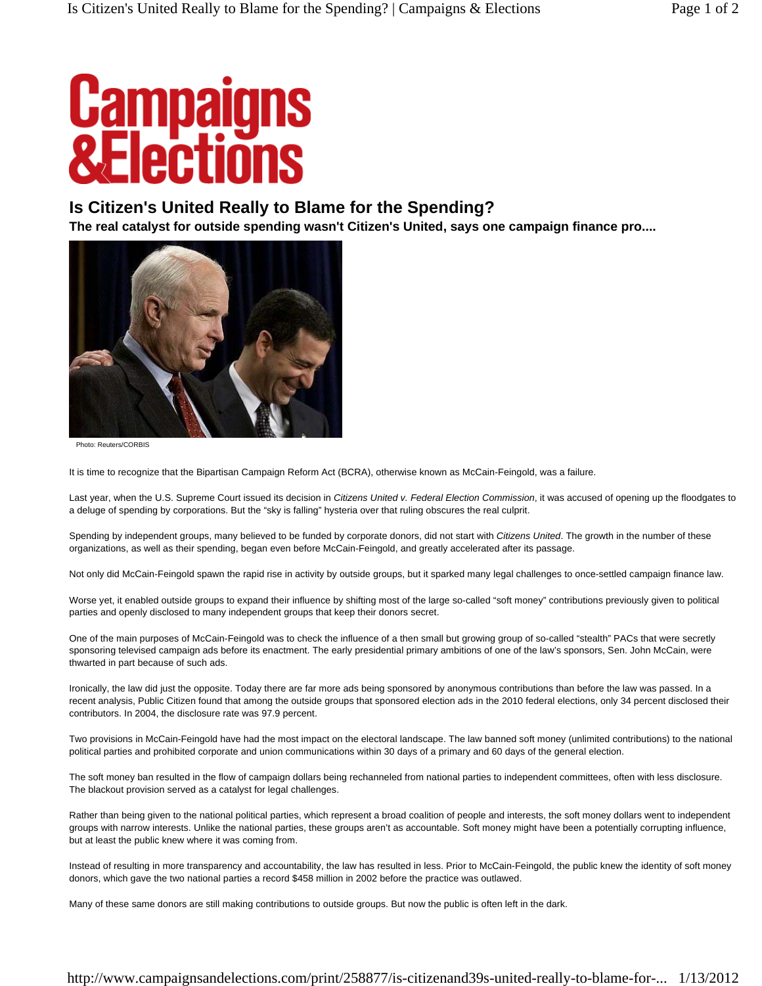## **Campaigns<br>&Flections**

## **Is Citizen's United Really to Blame for the Spending?**

**The real catalyst for outside spending wasn't Citizen's United, says one campaign finance pro....** 



Photo: Reuters/CORBIS

It is time to recognize that the Bipartisan Campaign Reform Act (BCRA), otherwise known as McCain-Feingold, was a failure.

Last year, when the U.S. Supreme Court issued its decision in *Citizens United v. Federal Election Commission*, it was accused of opening up the floodgates to a deluge of spending by corporations. But the "sky is falling" hysteria over that ruling obscures the real culprit.

Spending by independent groups, many believed to be funded by corporate donors, did not start with *Citizens United*. The growth in the number of these organizations, as well as their spending, began even before McCain-Feingold, and greatly accelerated after its passage.

Not only did McCain-Feingold spawn the rapid rise in activity by outside groups, but it sparked many legal challenges to once-settled campaign finance law.

Worse yet, it enabled outside groups to expand their influence by shifting most of the large so-called "soft money" contributions previously given to political parties and openly disclosed to many independent groups that keep their donors secret.

One of the main purposes of McCain-Feingold was to check the influence of a then small but growing group of so-called "stealth" PACs that were secretly sponsoring televised campaign ads before its enactment. The early presidential primary ambitions of one of the law's sponsors, Sen. John McCain, were thwarted in part because of such ads.

Ironically, the law did just the opposite. Today there are far more ads being sponsored by anonymous contributions than before the law was passed. In a recent analysis, Public Citizen found that among the outside groups that sponsored election ads in the 2010 federal elections, only 34 percent disclosed their contributors. In 2004, the disclosure rate was 97.9 percent.

Two provisions in McCain-Feingold have had the most impact on the electoral landscape. The law banned soft money (unlimited contributions) to the national political parties and prohibited corporate and union communications within 30 days of a primary and 60 days of the general election.

The soft money ban resulted in the flow of campaign dollars being rechanneled from national parties to independent committees, often with less disclosure. The blackout provision served as a catalyst for legal challenges.

Rather than being given to the national political parties, which represent a broad coalition of people and interests, the soft money dollars went to independent groups with narrow interests. Unlike the national parties, these groups aren't as accountable. Soft money might have been a potentially corrupting influence, but at least the public knew where it was coming from.

Instead of resulting in more transparency and accountability, the law has resulted in less. Prior to McCain-Feingold, the public knew the identity of soft money donors, which gave the two national parties a record \$458 million in 2002 before the practice was outlawed.

Many of these same donors are still making contributions to outside groups. But now the public is often left in the dark.